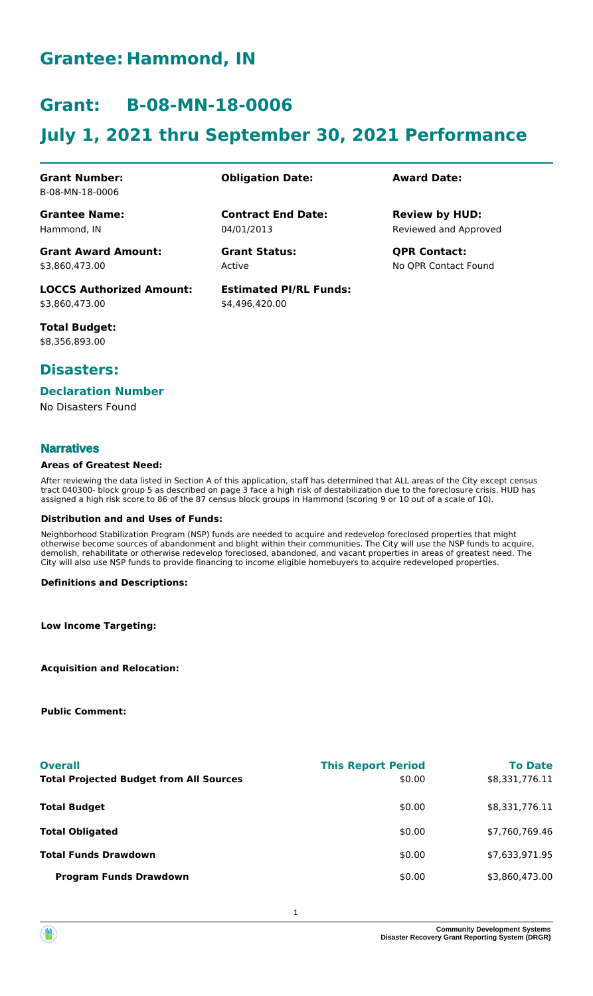## **Grantee: Hammond, IN**

## **Grant: B-08-MN-18-0006**

# **July 1, 2021 thru September 30, 2021 Performance**

**Contract End Date:**

**Estimated PI/RL Funds:**

\$4,496,420.00

04/01/2013

Active

#### **Grant Number:** B-08-MN-18-0006

**Grantee Name:** Hammond, IN

**Grant Award Amount:** \$3,860,473.00

**LOCCS Authorized Amount:** \$3,860,473.00

**Total Budget:** \$8,356,893.00

### **Disasters:**

#### **Declaration Number**

No Disasters Found

#### **Narratives**

#### **Areas of Greatest Need:**

After reviewing the data listed in Section A of this application, staff has determined that ALL areas of the City except census tract 040300- block group 5 as described on page 3 face a high risk of destabilization due to the foreclosure crisis. HUD has assigned a high risk score to 86 of the 87 census block groups in Hammond (scoring 9 or 10 out of a scale of 10).

#### **Distribution and and Uses of Funds:**

Neighborhood Stabilization Program (NSP) funds are needed to acquire and redevelop foreclosed properties that might otherwise become sources of abandonment and blight within their communities. The City will use the NSP funds to acquire, demolish, rehabilitate or otherwise redevelop foreclosed, abandoned, and vacant properties in areas of greatest need. The City will also use NSP funds to provide financing to income eligible homebuyers to acquire redeveloped properties.

#### **Definitions and Descriptions:**

**Low Income Targeting:**

**Acquisition and Relocation:**

**Public Comment:**

| <b>Overall</b><br><b>Total Projected Budget from All Sources</b> | <b>This Report Period</b><br>\$0.00 | <b>To Date</b><br>\$8,331,776.11 |
|------------------------------------------------------------------|-------------------------------------|----------------------------------|
| <b>Total Budget</b>                                              | \$0.00                              | \$8,331,776.11                   |
| <b>Total Obligated</b>                                           | \$0.00                              | \$7,760,769.46                   |
| <b>Total Funds Drawdown</b>                                      | \$0.00                              | \$7,633,971.95                   |
| <b>Program Funds Drawdown</b>                                    | \$0.00                              | \$3,860,473.00                   |

#### **Obligation Date: Award Date:**

Reviewed and Approved **Review by HUD:**

**Grant Status: QPR Contact:** No QPR Contact Found